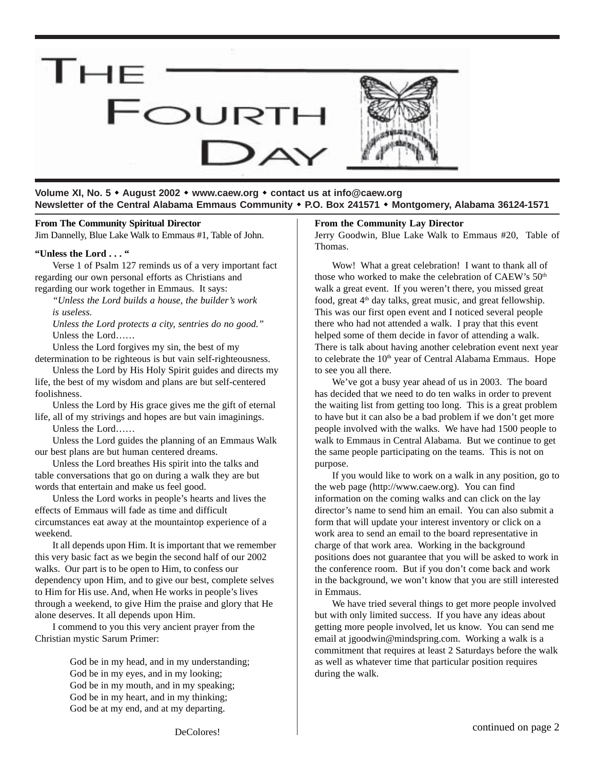

**Volume XI, No. 5** ! **August 2002** ! **www.caew.org** ! **contact us at info@caew.org Newsletter of the Central Alabama Emmaus Community** ! **P.O. Box 241571** ! **Montgomery, Alabama 36124-1571**

#### **From The Community Spiritual Director**

Jim Dannelly, Blue Lake Walk to Emmaus #1, Table of John.

#### **"Unless the Lord . . . "**

Verse 1 of Psalm 127 reminds us of a very important fact regarding our own personal efforts as Christians and regarding our work together in Emmaus. It says:

*"Unless the Lord builds a house, the builder's work is useless.*

*Unless the Lord protects a city, sentries do no good."* Unless the Lord……

Unless the Lord forgives my sin, the best of my determination to be righteous is but vain self-righteousness.

Unless the Lord by His Holy Spirit guides and directs my life, the best of my wisdom and plans are but self-centered foolishness.

Unless the Lord by His grace gives me the gift of eternal life, all of my strivings and hopes are but vain imaginings.

Unless the Lord……

Unless the Lord guides the planning of an Emmaus Walk our best plans are but human centered dreams.

Unless the Lord breathes His spirit into the talks and table conversations that go on during a walk they are but words that entertain and make us feel good.

Unless the Lord works in people's hearts and lives the effects of Emmaus will fade as time and difficult circumstances eat away at the mountaintop experience of a weekend.

It all depends upon Him. It is important that we remember this very basic fact as we begin the second half of our 2002 walks. Our part is to be open to Him, to confess our dependency upon Him, and to give our best, complete selves to Him for His use. And, when He works in people's lives through a weekend, to give Him the praise and glory that He alone deserves. It all depends upon Him.

I commend to you this very ancient prayer from the Christian mystic Sarum Primer:

> God be in my head, and in my understanding; God be in my eyes, and in my looking; God be in my mouth, and in my speaking; God be in my heart, and in my thinking; God be at my end, and at my departing.

#### **From the Community Lay Director**

Jerry Goodwin, Blue Lake Walk to Emmaus #20, Table of Thomas.

Wow! What a great celebration! I want to thank all of those who worked to make the celebration of CAEW's 50<sup>th</sup> walk a great event. If you weren't there, you missed great food, great  $4<sup>th</sup>$  day talks, great music, and great fellowship. This was our first open event and I noticed several people there who had not attended a walk. I pray that this event helped some of them decide in favor of attending a walk. There is talk about having another celebration event next year to celebrate the 10<sup>th</sup> year of Central Alabama Emmaus. Hope to see you all there.

We've got a busy year ahead of us in 2003. The board has decided that we need to do ten walks in order to prevent the waiting list from getting too long. This is a great problem to have but it can also be a bad problem if we don't get more people involved with the walks. We have had 1500 people to walk to Emmaus in Central Alabama. But we continue to get the same people participating on the teams. This is not on purpose.

If you would like to work on a walk in any position, go to the web page (http://www.caew.org). You can find information on the coming walks and can click on the lay director's name to send him an email. You can also submit a form that will update your interest inventory or click on a work area to send an email to the board representative in charge of that work area. Working in the background positions does not guarantee that you will be asked to work in the conference room. But if you don't come back and work in the background, we won't know that you are still interested in Emmaus.

We have tried several things to get more people involved but with only limited success. If you have any ideas about getting more people involved, let us know. You can send me email at jgoodwin@mindspring.com. Working a walk is a commitment that requires at least 2 Saturdays before the walk as well as whatever time that particular position requires during the walk.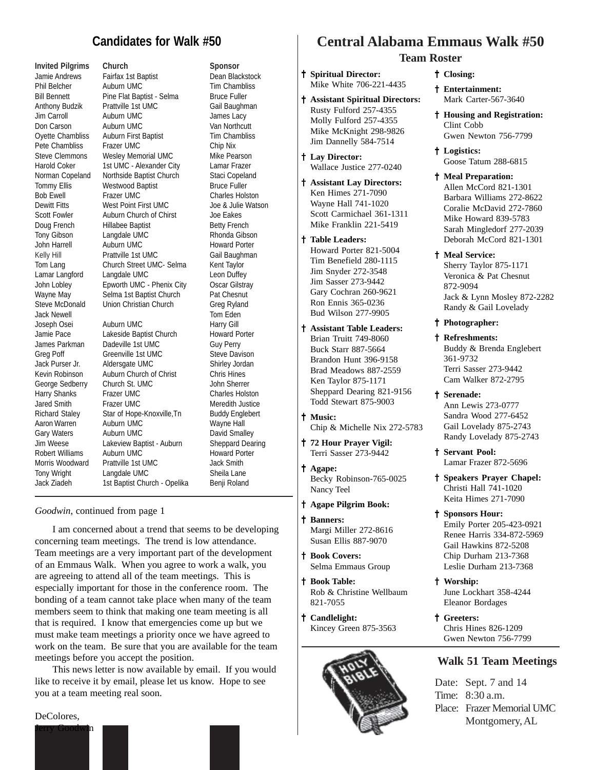## **Candidates for Walk #50**

Jack Newell **Tom** Eden

**Invited Pilgrims Church Sponsor** Jamie Andrews Fairfax 1st Baptist Dean Blackstock Phil Belcher Auburn UMC Tim Chambliss Bill Bennett Pine Flat Baptist - Selma Bruce Fuller Anthony Budzik Prattville 1st UMC Gail Baughman Jim Carroll Auburn UMC James Lacy **Don Carson** Auburn UMC Van Northcutt Oyette Chambliss Auburn First Baptist Tim Chambliss Pete Chambliss Frazer UMC Chip Nix Steve Clemmons Wesley Memorial UMC Mike Pearson Harold Coker 1st UMC - Alexander City Lamar Frazer Norman Copeland Northside Baptist Church Staci Copeland Tommy Ellis Westwood Baptist Bruce Fuller Bob Ewell Frazer UMC Charles Holston Dewitt Fitts West Point First UMC Joe & Julie Watson Scott Fowler Auburn Church of Chirst Joe Eakes Doug French Hillabee Baptist Betty French Tony Gibson Langdale UMC Rhonda Gibson John Harrell **Auburn UMC** Howard Porter Kelly Hill **Prattville 1st UMC** Gail Baughman Tom Lang Church Street UMC- Selma Kent Taylor Lamar Langford Langdale UMC Leon Duffey John Lobley **Epworth UMC - Phenix City** Oscar Gilstray Wayne May Selma 1st Baptist Church Pat Chesnut Steve McDonald Union Christian Church Greg Ryland

Joseph Osei Auburn UMC Harry Gill Jamie Pace Lakeside Baptist Church Howard Porter James Parkman Dadeville 1st UMC Guy Perry Greg Poff Greenville 1st UMC Steve Davison Jack Purser Jr. Aldersgate UMC Shirley Jordan Kevin Robinson Auburn Church of Christ Chris Hines George Sedberry Church St. UMC John Sherrer Harry Shanks Frazer UMC Charles Holston Jared Smith Frazer UMC Meredith Justice Richard Staley Star of Hope-Knoxville, Tn Buddy Englebert Aaron Warren Auburn UMC and Mayne Hall<br>
Auburn UMC Gary Waters Auburn UMC Australian David Small Auburn UMC David Smalley Jim Weese Lakeview Baptist - Auburn Sheppard Dearing Robert Williams Auburn UMC Howard Porter Morris Woodward Prattville 1st UMC Jack Smith Tony Wright Langdale UMC Sheila Lane Jack Ziadeh 1st Baptist Church - Opelika Benji Roland

#### *Goodwin*, continued from page 1

I am concerned about a trend that seems to be developing concerning team meetings. The trend is low attendance. Team meetings are a very important part of the development of an Emmaus Walk. When you agree to work a walk, you are agreeing to attend all of the team meetings. This is especially important for those in the conference room. The bonding of a team cannot take place when many of the team members seem to think that making one team meeting is all that is required. I know that emergencies come up but we must make team meetings a priority once we have agreed to work on the team. Be sure that you are available for the team meetings before you accept the position.

This news letter is now available by email. If you would like to receive it by email, please let us know. Hope to see you at a team meeting real soon.

#### DeColores,



# **Central Alabama Emmaus Walk #50**

### **Team Roster**

- † **Spiritual Director:** Mike White 706-221-4435
- † † **Assistant Spiritual Directors:** Rusty Fulford 257-4355 Molly Fulford 257-4355 Mike McKnight 298-9826 Jim Dannelly 584-7514
- † † **Lay Director:** Wallace Justice 277-0240
- † † **Assistant Lay Directors:** Ken Himes 271-7090 Wayne Hall 741-1020 Scott Carmichael 361-1311 Mike Franklin 221-5419
- † † **Table Leaders:** Howard Porter 821-5004 Tim Benefield 280-1115 Jim Snyder 272-3548 Jim Sasser 273-9442 Gary Cochran 260-9621 Ron Ennis 365-0236 Bud Wilson 277-9905
- † † **Assistant Table Leaders:** Brian Truitt 749-8060 Buck Starr 887-5664 Brandon Hunt 396-9158 Brad Meadows 887-2559 Ken Taylor 875-1171 Sheppard Dearing 821-9156 Todd Stewart 875-9003
- † † **Music:** Chip & Michelle Nix 272-5783
- † † **72 Hour Prayer Vigil:** Terri Sasser 273-9442
- † † **Agape:** Becky Robinson-765-0025
- † † **Agape Pilgrim Book:**

Nancy Teel

- † † **Banners:** Margi Miller 272-8616 Susan Ellis 887-9070
- † † **Book Covers:** Selma Emmaus Group
- † † **Book Table:** Rob & Christine Wellbaum 821-7055

† † **Candlelight:** Kincey Green 875-3563



#### † **Closing:**

- † **Entertainment:** Mark Carter-567-3640
- † **Housing and Registration:** Clint Cobb Gwen Newton 756-7799
- † **Logistics:** Goose Tatum 288-6815
- † **Meal Preparation:** Allen McCord 821-1301 Barbara Williams 272-8622 Coralie McDavid 272-7860 Mike Howard 839-5783 Sarah Mingledorf 277-2039 Deborah McCord 821-1301
- † **Meal Service:** Sherry Taylor 875-1171 Veronica & Pat Chesnut 872-9094 Jack & Lynn Mosley 872-2282 Randy & Gail Lovelady
- † **Photographer:**
- † **Refreshments:** Buddy & Brenda Englebert 361-9732 Terri Sasser 273-9442 Cam Walker 872-2795
- † **Serenade:** Ann Lewis 273-0777 Sandra Wood 277-6452 Gail Lovelady 875-2743 Randy Lovelady 875-2743
- † **Servant Pool:** Lamar Frazer 872-5696
- † **Speakers Prayer Chapel:** Christi Hall 741-1020 Keita Himes 271-7090
- † **Sponsors Hour:** Emily Porter 205-423-0921 Renee Harris 334-872-5969 Gail Hawkins 872-5208 Chip Durham 213-7368 Leslie Durham 213-7368
- † **Worship:** June Lockhart 358-4244 Eleanor Bordages
- † **Greeters:** Chris Hines 826-1209 Gwen Newton 756-7799

### **Walk 51 Team Meetings**

Date: Sept. 7 and 14 Time: 8:30 a.m. Place: Frazer Memorial UMC Montgomery, AL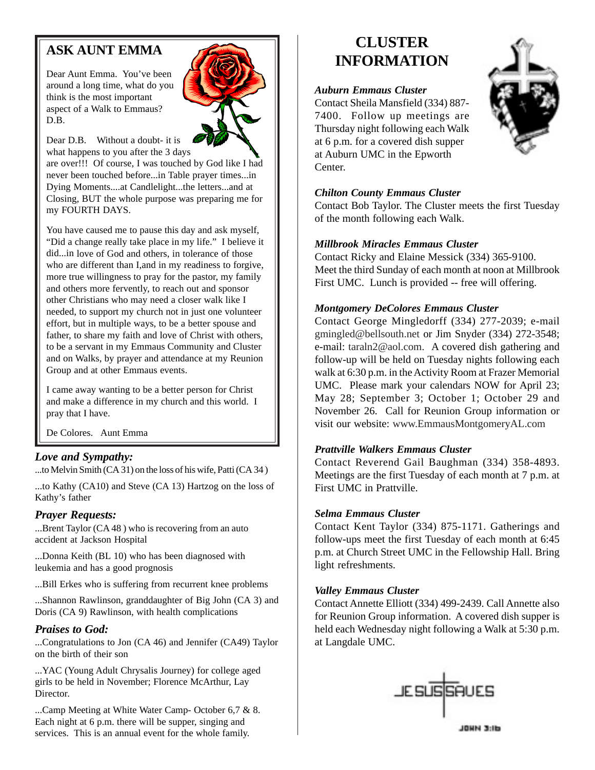# **ASK AUNT EMMA**

Dear Aunt Emma. You've been around a long time, what do you think is the most important aspect of a Walk to Emmaus? D.B.



Dear D.B. Without a doubt- it is what happens to you after the 3 days

are over!!! Of course, I was touched by God like I had never been touched before...in Table prayer times...in Dying Moments....at Candlelight...the letters...and at Closing, BUT the whole purpose was preparing me for my FOURTH DAYS.

You have caused me to pause this day and ask myself, "Did a change really take place in my life." I believe it did...in love of God and others, in tolerance of those who are different than I,and in my readiness to forgive, more true willingness to pray for the pastor, my family and others more fervently, to reach out and sponsor other Christians who may need a closer walk like I needed, to support my church not in just one volunteer effort, but in multiple ways, to be a better spouse and father, to share my faith and love of Christ with others, to be a servant in my Emmaus Community and Cluster and on Walks, by prayer and attendance at my Reunion Group and at other Emmaus events.

I came away wanting to be a better person for Christ and make a difference in my church and this world. I pray that I have.

De Colores. Aunt Emma

## *Love and Sympathy:*

...to Melvin Smith (CA 31) on the loss of his wife, Patti (CA 34 )

...to Kathy (CA10) and Steve (CA 13) Hartzog on the loss of Kathy's father

### *Prayer Requests:*

...Brent Taylor (CA 48 ) who is recovering from an auto accident at Jackson Hospital

...Donna Keith (BL 10) who has been diagnosed with leukemia and has a good prognosis

...Bill Erkes who is suffering from recurrent knee problems

...Shannon Rawlinson, granddaughter of Big John (CA 3) and Doris (CA 9) Rawlinson, with health complications

## *Praises to God:*

...Congratulations to Jon (CA 46) and Jennifer (CA49) Taylor on the birth of their son

...YAC (Young Adult Chrysalis Journey) for college aged girls to be held in November; Florence McArthur, Lay Director.

...Camp Meeting at White Water Camp- October 6,7 & 8. Each night at 6 p.m. there will be supper, singing and services. This is an annual event for the whole family.

# **CLUSTER INFORMATION**

### *Auburn Emmaus Cluster*

Contact Sheila Mansfield (334) 887- 7400. Follow up meetings are Thursday night following each Walk at 6 p.m. for a covered dish supper at Auburn UMC in the Epworth Center.



### *Chilton County Emmaus Cluster*

Contact Bob Taylor. The Cluster meets the first Tuesday of the month following each Walk.

### *Millbrook Miracles Emmaus Cluster*

Contact Ricky and Elaine Messick (334) 365-9100. Meet the third Sunday of each month at noon at Millbrook First UMC. Lunch is provided -- free will offering.

### *Montgomery DeColores Emmaus Cluster*

Contact George Mingledorff (334) 277-2039; e-mail gmingled@bellsouth.net or Jim Snyder (334) 272-3548; e-mail: taraln2@aol.com. A covered dish gathering and follow-up will be held on Tuesday nights following each walk at 6:30 p.m. in the Activity Room at Frazer Memorial UMC. Please mark your calendars NOW for April 23; May 28; September 3; October 1; October 29 and November 26. Call for Reunion Group information or visit our website: www.EmmausMontgomeryAL.com

### *Prattville Walkers Emmaus Cluster*

Contact Reverend Gail Baughman (334) 358-4893. Meetings are the first Tuesday of each month at 7 p.m. at First UMC in Prattville.

### *Selma Emmaus Cluster*

Contact Kent Taylor (334) 875-1171. Gatherings and follow-ups meet the first Tuesday of each month at 6:45 p.m. at Church Street UMC in the Fellowship Hall. Bring light refreshments.

### *Valley Emmaus Cluster*

Contact Annette Elliott (334) 499-2439. Call Annette also for Reunion Group information. A covered dish supper is held each Wednesday night following a Walk at 5:30 p.m. at Langdale UMC.



ланы завы